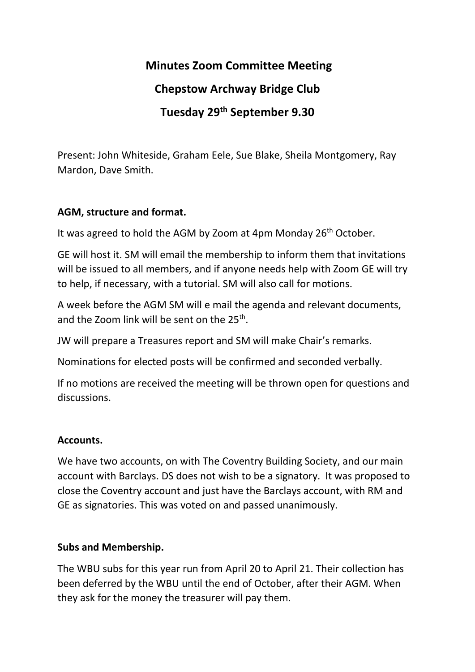# **Minutes Zoom Committee Meeting**

### **Chepstow Archway Bridge Club**

# **Tuesday 29th September 9.30**

Present: John Whiteside, Graham Eele, Sue Blake, Sheila Montgomery, Ray Mardon, Dave Smith.

#### **AGM, structure and format.**

It was agreed to hold the AGM by Zoom at 4pm Monday  $26<sup>th</sup>$  October.

GE will host it. SM will email the membership to inform them that invitations will be issued to all members, and if anyone needs help with Zoom GE will try to help, if necessary, with a tutorial. SM will also call for motions.

A week before the AGM SM will e mail the agenda and relevant documents, and the Zoom link will be sent on the 25<sup>th</sup>.

JW will prepare a Treasures report and SM will make Chair's remarks.

Nominations for elected posts will be confirmed and seconded verbally.

If no motions are received the meeting will be thrown open for questions and discussions.

#### **Accounts.**

We have two accounts, on with The Coventry Building Society, and our main account with Barclays. DS does not wish to be a signatory. It was proposed to close the Coventry account and just have the Barclays account, with RM and GE as signatories. This was voted on and passed unanimously.

#### **Subs and Membership.**

The WBU subs for this year run from April 20 to April 21. Their collection has been deferred by the WBU until the end of October, after their AGM. When they ask for the money the treasurer will pay them.